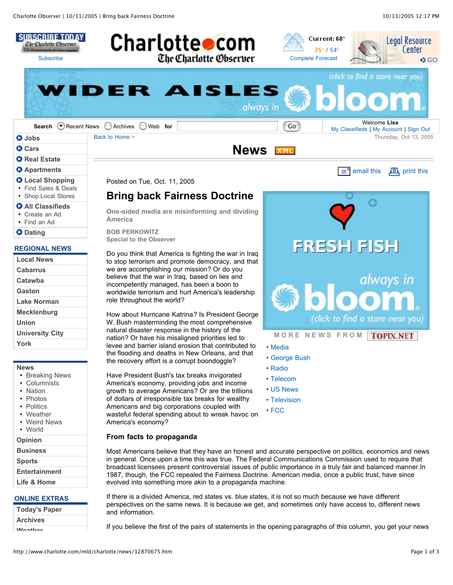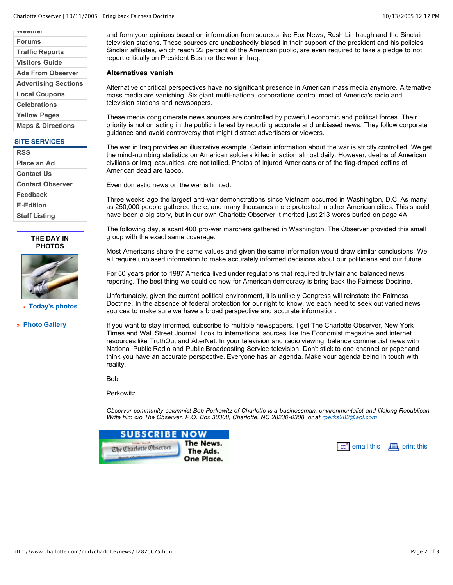**Weather Forums Traffic Reports Visitors Guide Ads From Observer Advertising Sections Local Coupons Celebrations Yellow Pages Maps & Directions**

#### **SITE SERVICES**

| <b>RSS</b>              |
|-------------------------|
| Place an Ad             |
| <b>Contact Us</b>       |
| <b>Contact Observer</b> |
| Feedback                |
| <b>E-Edition</b>        |
| <b>Staff Listing</b>    |





**» Today's photos**

**» Photo Gallery**

and form your opinions based on information from sources like Fox News, Rush Limbaugh and the Sinclair television stations. These sources are unabashedly biased in their support of the president and his policies. Sinclair affiliates, which reach 22 percent of the American public, are even required to take a pledge to not report critically on President Bush or the war in Iraq.

### **Alternatives vanish**

Alternative or critical perspectives have no significant presence in American mass media anymore. Alternative mass media are vanishing. Six giant multi-national corporations control most of America's radio and television stations and newspapers.

These media conglomerate news sources are controlled by powerful economic and political forces. Their priority is not on acting in the public interest by reporting accurate and unbiased news. They follow corporate guidance and avoid controversy that might distract advertisers or viewers.

The war in Iraq provides an illustrative example. Certain information about the war is strictly controlled. We get the mind-numbing statistics on American soldiers killed in action almost daily. However, deaths of American civilians or Iraqi casualties, are not tallied. Photos of injured Americans or of the flag-draped coffins of American dead are taboo.

Even domestic news on the war is limited.

Three weeks ago the largest anti-war demonstrations since Vietnam occurred in Washington, D.C. As many as 250,000 people gathered there, and many thousands more protested in other American cities. This should have been a big story, but in our own Charlotte Observer it merited just 213 words buried on page 4A.

The following day, a scant 400 pro-war marchers gathered in Washington. The Observer provided this small group with the exact same coverage.

Most Americans share the same values and given the same information would draw similar conclusions. We all require unbiased information to make accurately informed decisions about our politicians and our future.

For 50 years prior to 1987 America lived under regulations that required truly fair and balanced news reporting. The best thing we could do now for American democracy is bring back the Fairness Doctrine.

Unfortunately, given the current political environment, it is unlikely Congress will reinstate the Fairness Doctrine. In the absence of federal protection for our right to know, we each need to seek out varied news sources to make sure we have a broad perspective and accurate information.

If you want to stay informed, subscribe to multiple newspapers. I get The Charlotte Observer, New York Times and Wall Street Journal. Look to international sources like the Economist magazine and internet resources like TruthOut and AlterNet. In your television and radio viewing, balance commercial news with National Public Radio and Public Broadcasting Service television. Don't stick to one channel or paper and think you have an accurate perspective. Everyone has an agenda. Make your agenda being in touch with reality.

Bob

**Perkowitz** 

*Observer community columnist Bob Perkowitz of Charlotte is a businessman, environmentalist and lifelong Republican. Write him c/o The Observer, P.O. Box 30308, Charlotte, NC 28230-0308, or at rperks282@aol.com.*